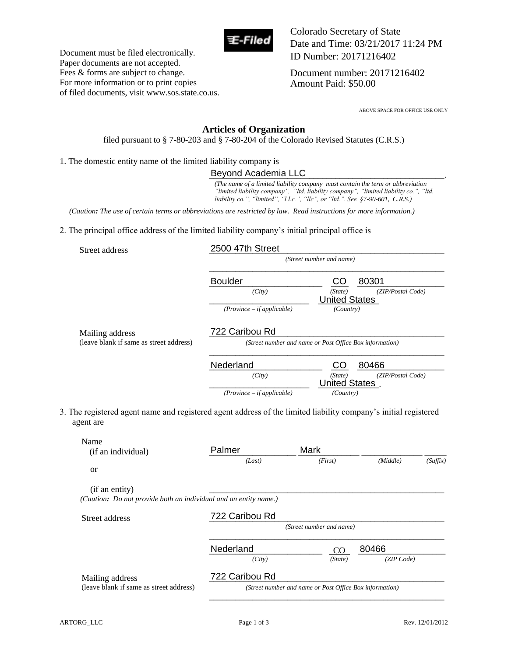

Colorado Secretary of State Date and Time: 03/21/2017 11:24 PM ID Number: 20171216402

Document number: 20171216402 Amount Paid: \$50.00

ABOVE SPACE FOR OFFICE USE ONLY

## **Articles of Organization**

filed pursuant to § 7-80-203 and § 7-80-204 of the Colorado Revised Statutes (C.R.S.)

1. The domestic entity name of the limited liability company is

## Beyond Academia LLC

|  | Street address |
|--|----------------|
|--|----------------|

Document must be filed electronically. Paper documents are not accepted. Fees & forms are subject to change. For more information or to print copies of filed documents, visit www.sos.state.co.us.

| <b>Boulder</b>               |                      | 80301             |
|------------------------------|----------------------|-------------------|
| (City)                       | (State)              | (ZIP/Postal Code) |
|                              | <b>United States</b> |                   |
| $(Province - if applicable)$ | <i>(Country)</i>     |                   |

| Nederland                    | 80466<br>CO                  |
|------------------------------|------------------------------|
| (City)                       | (ZIP/Postal Code)<br>(State) |
|                              | <b>United States</b>         |
| $(Province - if applicable)$ | (Country)                    |

|                                                                                                                              | Beyond Academia LLC                                                                                                                                             |                                                         |                                                                                       |  |
|------------------------------------------------------------------------------------------------------------------------------|-----------------------------------------------------------------------------------------------------------------------------------------------------------------|---------------------------------------------------------|---------------------------------------------------------------------------------------|--|
|                                                                                                                              | (The name of a limited liability company must contain the term or abbreviation<br>liability co.", "limited", "l.l.c.", "llc", or "ltd.". See §7-90-601, C.R.S.) |                                                         | "limited liability company", "Itd. liability company", "limited liability co.", "Itd. |  |
| (Caution: The use of certain terms or abbreviations are restricted by law. Read instructions for more information.)          |                                                                                                                                                                 |                                                         |                                                                                       |  |
| 2. The principal office address of the limited liability company's initial principal office is                               |                                                                                                                                                                 |                                                         |                                                                                       |  |
| Street address                                                                                                               | 2500 47th Street                                                                                                                                                |                                                         |                                                                                       |  |
|                                                                                                                              |                                                                                                                                                                 | (Street number and name)                                |                                                                                       |  |
|                                                                                                                              | <b>Boulder</b>                                                                                                                                                  | CO                                                      | 80301                                                                                 |  |
|                                                                                                                              | (City)                                                                                                                                                          | (State)<br><b>United States</b>                         | (ZIP/Postal Code)                                                                     |  |
|                                                                                                                              | $(Province - if applicable)$                                                                                                                                    | (Country)                                               |                                                                                       |  |
| Mailing address                                                                                                              | 722 Caribou Rd                                                                                                                                                  |                                                         |                                                                                       |  |
| (leave blank if same as street address)                                                                                      |                                                                                                                                                                 | (Street number and name or Post Office Box information) |                                                                                       |  |
|                                                                                                                              | Nederland                                                                                                                                                       | CO                                                      | 80466                                                                                 |  |
|                                                                                                                              | (City)                                                                                                                                                          | (State)<br><b>United States</b>                         | (ZIP/Postal Code)                                                                     |  |
|                                                                                                                              | $(Province - if applicable)$                                                                                                                                    | (Country)                                               |                                                                                       |  |
| 3. The registered agent name and registered agent address of the limited liability company's initial registered<br>agent are |                                                                                                                                                                 |                                                         |                                                                                       |  |
| Name                                                                                                                         | Palmer                                                                                                                                                          | Mark                                                    |                                                                                       |  |
| (if an individual)                                                                                                           | (Last)                                                                                                                                                          | (First)                                                 | (Middle)<br>(Suffix)                                                                  |  |
| <sub>or</sub>                                                                                                                |                                                                                                                                                                 |                                                         |                                                                                       |  |
| (if an entity)<br>(Caution: Do not provide both an individual and an entity name.)                                           |                                                                                                                                                                 |                                                         |                                                                                       |  |
| Street address                                                                                                               | 722 Caribou Rd                                                                                                                                                  |                                                         |                                                                                       |  |
|                                                                                                                              |                                                                                                                                                                 | (Street number and name)                                |                                                                                       |  |
|                                                                                                                              | Nederland                                                                                                                                                       | CO                                                      | 80466                                                                                 |  |
|                                                                                                                              |                                                                                                                                                                 |                                                         |                                                                                       |  |
|                                                                                                                              | (City)                                                                                                                                                          | (State)                                                 | (ZIP Code)                                                                            |  |
| Mailing address                                                                                                              | 722 Caribou Rd                                                                                                                                                  |                                                         |                                                                                       |  |
| (leave blank if same as street address)                                                                                      |                                                                                                                                                                 | (Street number and name or Post Office Box information) |                                                                                       |  |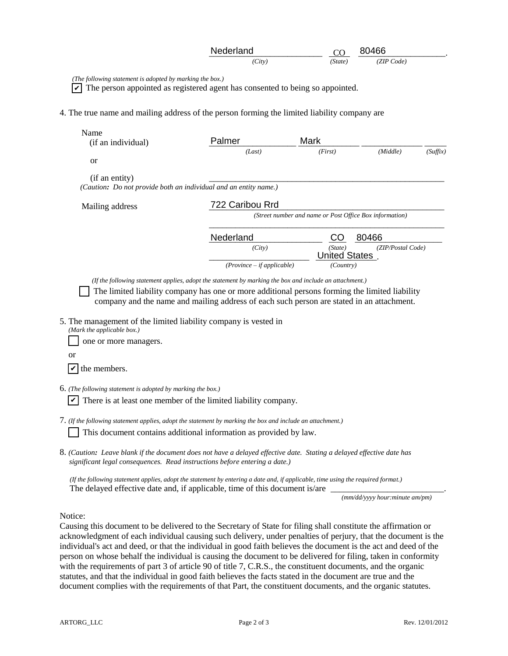| Nederland | $\sim$<br>◡ | 80466      |  |
|-----------|-------------|------------|--|
| (City)    | (State)     | (ZIP Code) |  |

|                                                                                                                                                                                                     | Nederland                                                                                                                                                                                                                                                                                                                          |                                                         | 80466             |          |  |  |
|-----------------------------------------------------------------------------------------------------------------------------------------------------------------------------------------------------|------------------------------------------------------------------------------------------------------------------------------------------------------------------------------------------------------------------------------------------------------------------------------------------------------------------------------------|---------------------------------------------------------|-------------------|----------|--|--|
|                                                                                                                                                                                                     | (City)                                                                                                                                                                                                                                                                                                                             | (State)                                                 | (ZIP Code)        |          |  |  |
| (The following statement is adopted by marking the box.)                                                                                                                                            | The person appointed as registered agent has consented to being so appointed.                                                                                                                                                                                                                                                      |                                                         |                   |          |  |  |
| 4. The true name and mailing address of the person forming the limited liability company are                                                                                                        |                                                                                                                                                                                                                                                                                                                                    |                                                         |                   |          |  |  |
| Name<br>(if an individual)                                                                                                                                                                          | Palmer                                                                                                                                                                                                                                                                                                                             | Mark                                                    |                   |          |  |  |
| or                                                                                                                                                                                                  | (Last)                                                                                                                                                                                                                                                                                                                             | (First)                                                 | (Middle)          | (Suffix) |  |  |
| (if an entity)<br>(Caution: Do not provide both an individual and an entity name.)                                                                                                                  |                                                                                                                                                                                                                                                                                                                                    |                                                         |                   |          |  |  |
| Mailing address                                                                                                                                                                                     | 722 Caribou Rrd                                                                                                                                                                                                                                                                                                                    |                                                         |                   |          |  |  |
|                                                                                                                                                                                                     |                                                                                                                                                                                                                                                                                                                                    | (Street number and name or Post Office Box information) |                   |          |  |  |
|                                                                                                                                                                                                     | Nederland                                                                                                                                                                                                                                                                                                                          | CO                                                      | 80466             |          |  |  |
|                                                                                                                                                                                                     | (City)                                                                                                                                                                                                                                                                                                                             | (State)<br><b>United States</b>                         | (ZIP/Postal Code) |          |  |  |
|                                                                                                                                                                                                     | $(Province - if applicable)$                                                                                                                                                                                                                                                                                                       | (Country)                                               |                   |          |  |  |
| 5. The management of the limited liability company is vested in                                                                                                                                     | (If the following statement applies, adopt the statement by marking the box and include an attachment.)<br>The limited liability company has one or more additional persons forming the limited liability<br>company and the name and mailing address of each such person are stated in an attachment.                             |                                                         |                   |          |  |  |
| (Mark the applicable box.)<br>one or more managers.<br>or                                                                                                                                           |                                                                                                                                                                                                                                                                                                                                    |                                                         |                   |          |  |  |
| V<br>the members.                                                                                                                                                                                   |                                                                                                                                                                                                                                                                                                                                    |                                                         |                   |          |  |  |
| $6.$ (The following statement is adopted by marking the box.)                                                                                                                                       | There is at least one member of the limited liability company.                                                                                                                                                                                                                                                                     |                                                         |                   |          |  |  |
| $7.$ (If the following statement applies, adopt the statement by marking the box and include an attachment.)                                                                                        | This document contains additional information as provided by law.                                                                                                                                                                                                                                                                  |                                                         |                   |          |  |  |
| 8. (Caution: Leave blank if the document does not have a delayed effective date. Stating a delayed effective date has<br>significant legal consequences. Read instructions before entering a date.) |                                                                                                                                                                                                                                                                                                                                    |                                                         |                   |          |  |  |
|                                                                                                                                                                                                     | $\mathbf{1}$ $\mathbf{1}$ $\mathbf{1}$ $\mathbf{1}$ $\mathbf{1}$ $\mathbf{1}$ $\mathbf{1}$ $\mathbf{1}$ $\mathbf{1}$ $\mathbf{1}$ $\mathbf{1}$ $\mathbf{1}$ $\mathbf{1}$ $\mathbf{1}$ $\mathbf{1}$ $\mathbf{1}$ $\mathbf{1}$ $\mathbf{1}$ $\mathbf{1}$ $\mathbf{1}$ $\mathbf{1}$ $\mathbf{1}$ $\mathbf{1}$ $\mathbf{1}$ $\mathbf{$ |                                                         |                   |          |  |  |

 *(If the following statement applies, adopt the statement by entering a date and, if applicable, time using the required format.)* The delayed effective date and, if applicable, time of this document is/are

*(mm/dd/yyyy hour:minute am/pm)*

Notice:

Causing this document to be delivered to the Secretary of State for filing shall constitute the affirmation or acknowledgment of each individual causing such delivery, under penalties of perjury, that the document is the individual's act and deed, or that the individual in good faith believes the document is the act and deed of the person on whose behalf the individual is causing the document to be delivered for filing, taken in conformity with the requirements of part 3 of article 90 of title 7, C.R.S., the constituent documents, and the organic statutes, and that the individual in good faith believes the facts stated in the document are true and the document complies with the requirements of that Part, the constituent documents, and the organic statutes.